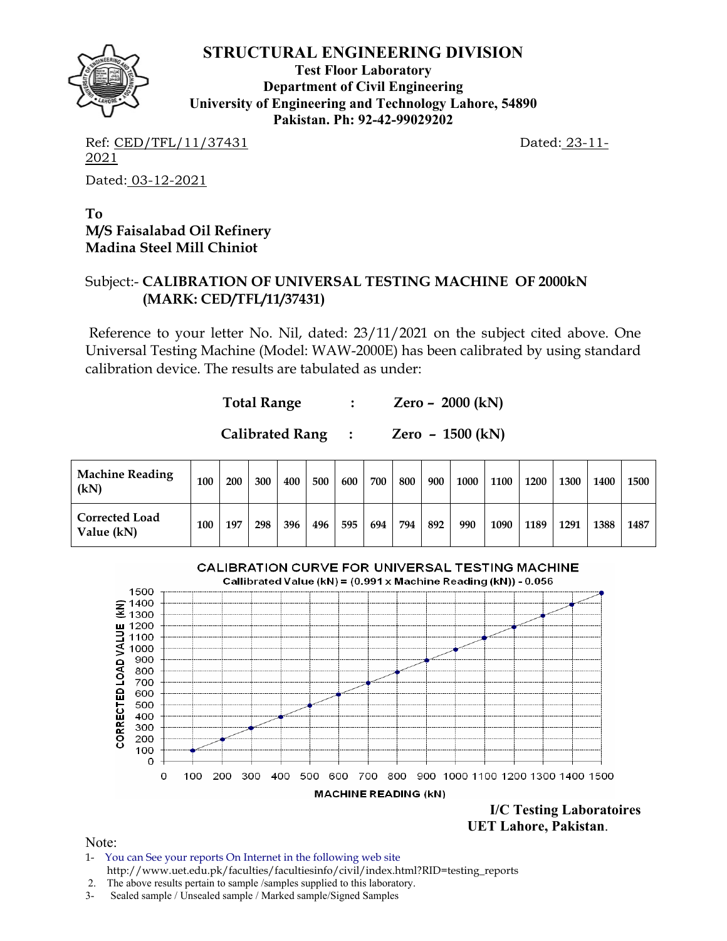

**Test Floor Laboratory Department of Civil Engineering University of Engineering and Technology Lahore, 54890 Pakistan. Ph: 92-42-99029202** 

Ref: CED/TFL/11/37431 Dated: 23-11-2021 Dated: 03-12-2021

**To M/S Faisalabad Oil Refinery Madina Steel Mill Chiniot** 

#### Subject:- **CALIBRATION OF UNIVERSAL TESTING MACHINE OF 2000kN (MARK: CED/TFL/11/37431)**

Reference to your letter No. Nil, dated: 23/11/2021 on the subject cited above. One Universal Testing Machine (Model: WAW-2000E) has been calibrated by using standard calibration device. The results are tabulated as under:

| <b>Total Range</b> |  |  | Zero – 2000 (kN) |
|--------------------|--|--|------------------|
|--------------------|--|--|------------------|

| <b>Calibrated Rang</b> |  | Zero - $1500$ (kN) |
|------------------------|--|--------------------|
|------------------------|--|--------------------|

| <b>Machine Reading</b><br>(kN)      | 100 | 200 | 300 | 400 | 500 | 600 | 700   | 800 | 900 | 1000 | 1100 | 1200 | 1300 | 1400 | 1500 |
|-------------------------------------|-----|-----|-----|-----|-----|-----|-------|-----|-----|------|------|------|------|------|------|
| <b>Corrected Load</b><br>Value (kN) | 100 | 197 | 298 | 396 | 496 | 595 | 694 l | 794 | 892 | 990  | 1090 | 1189 | 1291 | 1388 | 1487 |



**I/C Testing Laboratoires UET Lahore, Pakistan**.

Note:

- 1- You can See your reports On Internet in the following web site http://www.uet.edu.pk/faculties/facultiesinfo/civil/index.html?RID=testing\_reports
- 2. The above results pertain to sample /samples supplied to this laboratory.
- 3- Sealed sample / Unsealed sample / Marked sample/Signed Samples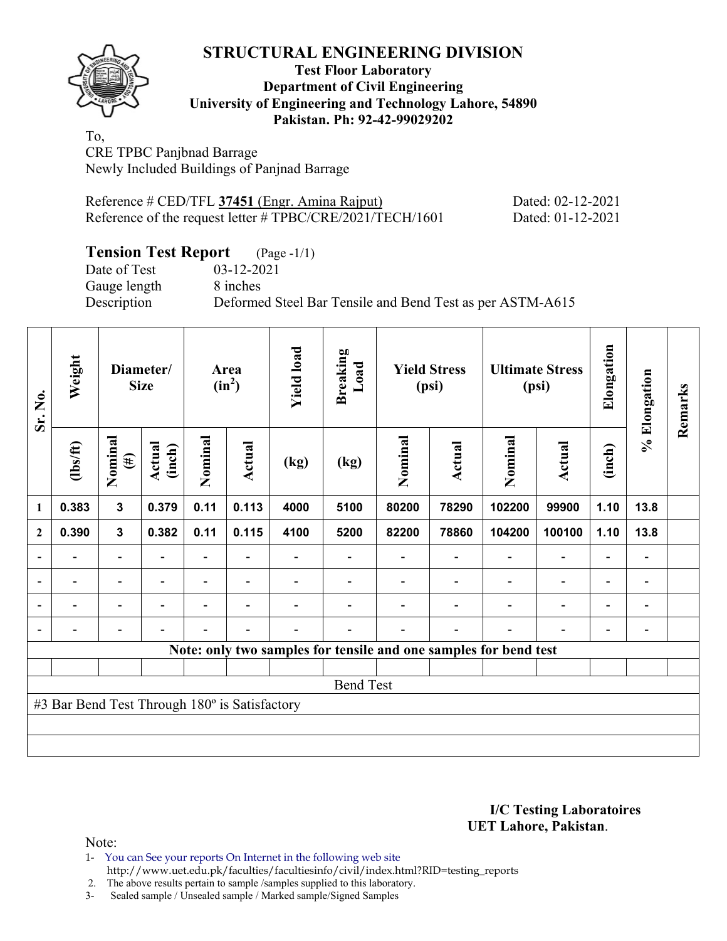

#### **Test Floor Laboratory Department of Civil Engineering University of Engineering and Technology Lahore, 54890 Pakistan. Ph: 92-42-99029202**

To, CRE TPBC Panjbnad Barrage Newly Included Buildings of Panjnad Barrage

| Reference # CED/TFL 37451 (Engr. Amina Rajput)            | Dated: 02-12-2021 |
|-----------------------------------------------------------|-------------------|
| Reference of the request letter # TPBC/CRE/2021/TECH/1601 | Dated: 01-12-2021 |

## **Tension Test Report** (Page -1/1)

Date of Test 03-12-2021 Gauge length 8 inches

Description Deformed Steel Bar Tensile and Bend Test as per ASTM-A615

| Sr. No.        | Weight                                        |                          | Diameter/<br><b>Size</b> |         | Area<br>$(in^2)$         | <b>Yield load</b> | <b>Breaking</b><br>Load |                                                                  | <b>Yield Stress</b><br>(psi) |         | <b>Ultimate Stress</b><br>(psi) | Elongation | % Elongation | Remarks |
|----------------|-----------------------------------------------|--------------------------|--------------------------|---------|--------------------------|-------------------|-------------------------|------------------------------------------------------------------|------------------------------|---------|---------------------------------|------------|--------------|---------|
|                | $\frac{2}{10}$                                | Nominal<br>$(\#)$        | <b>Actual</b><br>(inch)  | Nominal | Actual                   | (kg)              | (kg)                    | Nominal                                                          | <b>Actual</b>                | Nominal | <b>Actual</b>                   | (inch)     |              |         |
| 1              | 0.383                                         | $\mathbf{3}$             | 0.379                    | 0.11    | 0.113                    | 4000              | 5100                    | 80200                                                            | 78290                        | 102200  | 99900                           | 1.10       | 13.8         |         |
| $\mathbf{2}$   | 0.390                                         | $\mathbf{3}$             | 0.382                    | 0.11    | 0.115                    | 4100              | 5200                    | 82200                                                            | 78860                        | 104200  | 100100                          | 1.10       | 13.8         |         |
|                |                                               |                          |                          |         |                          |                   |                         |                                                                  |                              |         |                                 |            | -            |         |
| $\overline{a}$ |                                               | -                        |                          |         | $\blacksquare$           |                   |                         |                                                                  |                              |         |                                 |            | -            |         |
| $\overline{a}$ |                                               | $\overline{\phantom{0}}$ | $\blacksquare$           |         | $\overline{\phantom{a}}$ |                   |                         |                                                                  |                              |         | $\overline{\phantom{0}}$        | ۰          | -            |         |
|                | -                                             | $\overline{\phantom{0}}$ |                          |         | $\overline{a}$           |                   |                         |                                                                  |                              |         |                                 |            | -            |         |
|                |                                               |                          |                          |         |                          |                   |                         | Note: only two samples for tensile and one samples for bend test |                              |         |                                 |            |              |         |
|                |                                               |                          |                          |         |                          |                   |                         |                                                                  |                              |         |                                 |            |              |         |
|                |                                               |                          |                          |         |                          |                   | <b>Bend Test</b>        |                                                                  |                              |         |                                 |            |              |         |
|                | #3 Bar Bend Test Through 180° is Satisfactory |                          |                          |         |                          |                   |                         |                                                                  |                              |         |                                 |            |              |         |
|                |                                               |                          |                          |         |                          |                   |                         |                                                                  |                              |         |                                 |            |              |         |
|                |                                               |                          |                          |         |                          |                   |                         |                                                                  |                              |         |                                 |            |              |         |

#### **I/C Testing Laboratoires UET Lahore, Pakistan**.

Note:

1- You can See your reports On Internet in the following web site http://www.uet.edu.pk/faculties/facultiesinfo/civil/index.html?RID=testing\_reports

2. The above results pertain to sample /samples supplied to this laboratory.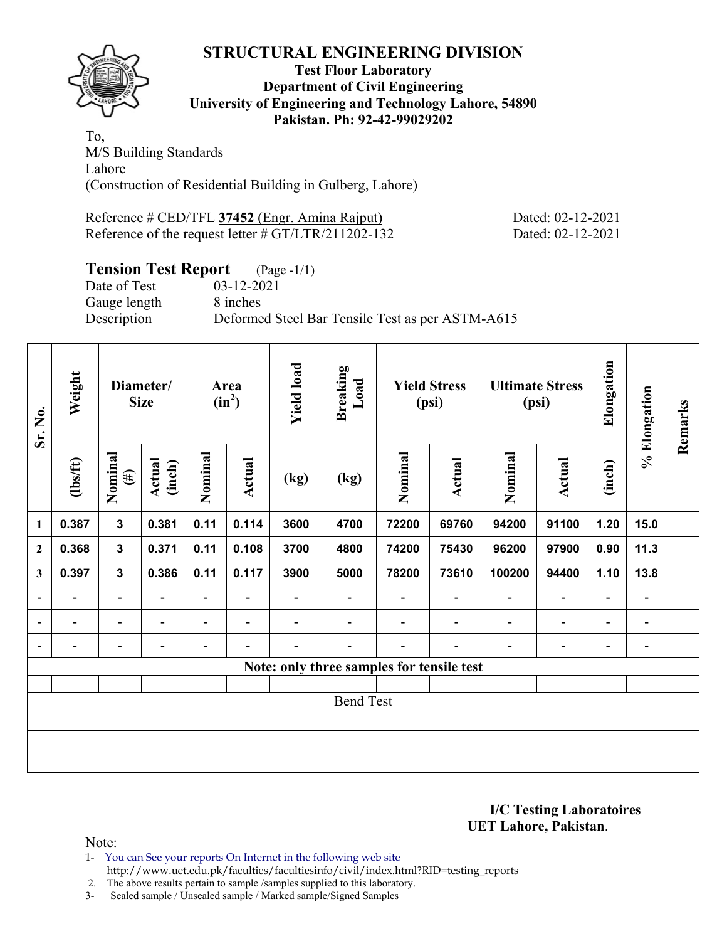

#### **Test Floor Laboratory Department of Civil Engineering University of Engineering and Technology Lahore, 54890 Pakistan. Ph: 92-42-99029202**

To, M/S Building Standards Lahore (Construction of Residential Building in Gulberg, Lahore)

Reference # CED/TFL **37452** (Engr. Amina Rajput) Dated: 02-12-2021 Reference of the request letter # GT/LTR/211202-132 Dated: 02-12-2021

# **Tension Test Report** (Page -1/1)

Gauge length 8 inches

Date of Test 03-12-2021 Description Deformed Steel Bar Tensile Test as per ASTM-A615

| Sr. No.                  | Weight                   | Diameter/<br><b>Size</b>    |                          |                          | Area<br>$(in^2)$         | <b>Yield load</b> | <b>Breaking</b><br>Load |                                           | <b>Yield Stress</b><br>(psi) |                          | <b>Ultimate Stress</b><br>(psi) | Elongation               | % Elongation                 | Remarks |
|--------------------------|--------------------------|-----------------------------|--------------------------|--------------------------|--------------------------|-------------------|-------------------------|-------------------------------------------|------------------------------|--------------------------|---------------------------------|--------------------------|------------------------------|---------|
|                          | $\frac{2}{10}$           | Nominal<br>Actual<br>$(\#)$ |                          | Nominal<br>(inch)        |                          | (kg)              | (kg)                    | Nominal                                   | Actual                       | Nominal                  | Actual                          | (inch)                   |                              |         |
| $\mathbf{1}$             | 0.387                    | $\mathbf{3}$                | 0.381                    | 0.11                     | 0.114                    | 3600              | 4700                    | 72200                                     | 69760                        | 94200                    | 91100                           | 1.20                     | 15.0                         |         |
| $\mathbf{2}$             | 0.368                    | $\mathbf{3}$                | 0.371                    | 0.11                     | 0.108                    | 3700              | 4800                    | 74200                                     | 75430                        | 96200                    | 97900                           | 0.90                     | 11.3                         |         |
| 3                        | 0.397                    | 3                           | 0.386                    | 0.11                     | 0.117                    | 3900              | 5000                    | 78200                                     | 73610                        | 100200                   | 94400                           | 1.10                     | 13.8                         |         |
| $\overline{a}$           | $\overline{\phantom{0}}$ | $\overline{\phantom{a}}$    | $\overline{\phantom{0}}$ | $\overline{\phantom{0}}$ | $\overline{\phantom{a}}$ |                   | -                       |                                           | $\overline{\phantom{a}}$     | $\overline{\phantom{a}}$ | -                               | $\overline{\phantom{a}}$ | $\blacksquare$               |         |
| $\overline{\phantom{a}}$ | -                        | $\overline{a}$              | ۰                        | $\overline{\phantom{0}}$ | $\blacksquare$           | -                 |                         |                                           | $\blacksquare$               | $\overline{\phantom{a}}$ | $\overline{a}$                  | $\overline{\phantom{a}}$ | $\overline{\phantom{0}}$     |         |
| $\blacksquare$           |                          | -                           |                          |                          |                          |                   |                         |                                           |                              |                          | -                               | -                        | $\qquad \qquad \blacksquare$ |         |
|                          |                          |                             |                          |                          |                          |                   |                         | Note: only three samples for tensile test |                              |                          |                                 |                          |                              |         |
|                          |                          |                             |                          |                          |                          |                   |                         |                                           |                              |                          |                                 |                          |                              |         |
|                          |                          |                             |                          |                          |                          |                   | <b>Bend Test</b>        |                                           |                              |                          |                                 |                          |                              |         |
|                          |                          |                             |                          |                          |                          |                   |                         |                                           |                              |                          |                                 |                          |                              |         |
|                          |                          |                             |                          |                          |                          |                   |                         |                                           |                              |                          |                                 |                          |                              |         |
|                          |                          |                             |                          |                          |                          |                   |                         |                                           |                              |                          |                                 |                          |                              |         |

**I/C Testing Laboratoires UET Lahore, Pakistan**.

Note:

1- You can See your reports On Internet in the following web site http://www.uet.edu.pk/faculties/facultiesinfo/civil/index.html?RID=testing\_reports

2. The above results pertain to sample /samples supplied to this laboratory.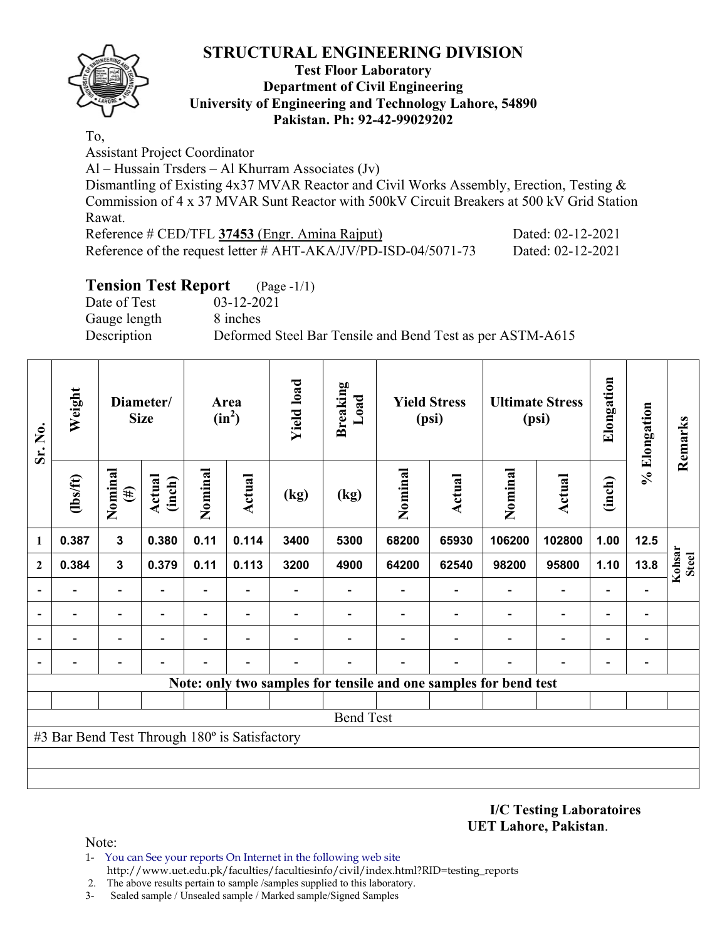

#### **Test Floor Laboratory Department of Civil Engineering University of Engineering and Technology Lahore, 54890 Pakistan. Ph: 92-42-99029202**

To,

Assistant Project Coordinator

Al – Hussain Trsders – Al Khurram Associates (Jv)

Dismantling of Existing 4x37 MVAR Reactor and Civil Works Assembly, Erection, Testing & Commission of 4 x 37 MVAR Sunt Reactor with 500kV Circuit Breakers at 500 kV Grid Station Rawat.

| Reference # CED/TFL 37453 (Engr. Amina Rajput)                    | Dated: 02-12-2021 |
|-------------------------------------------------------------------|-------------------|
| Reference of the request letter $\#$ AHT-AKA/JV/PD-ISD-04/5071-73 | Dated: 02-12-2021 |

## **Tension Test Report** (Page -1/1)

Date of Test 03-12-2021 Gauge length 8 inches

Description Deformed Steel Bar Tensile and Bend Test as per ASTM-A615

| Sr. No.      | Weight                                        | Diameter/<br><b>Size</b> |                  |         | Area<br>$(in^2)$         | <b>Yield load</b> | <b>Breaking</b><br>Load                                          |         | <b>Yield Stress</b><br>(psi) |         | <b>Ultimate Stress</b><br>(psi) | Elongation               | % Elongation             | Remarks                |
|--------------|-----------------------------------------------|--------------------------|------------------|---------|--------------------------|-------------------|------------------------------------------------------------------|---------|------------------------------|---------|---------------------------------|--------------------------|--------------------------|------------------------|
|              | $\frac{2}{10}$                                | Nominal<br>$(\#)$        | Actual<br>(inch) | Nominal | Actual                   | (kg)              | (kg)                                                             | Nominal | <b>Actual</b>                | Nominal | <b>Actual</b>                   | (inch)                   |                          |                        |
| 1            | 0.387                                         | $\mathbf{3}$             | 0.380            | 0.11    | 0.114                    | 3400              | 5300                                                             | 68200   | 65930                        | 106200  | 102800                          | 1.00                     | $12.5$                   |                        |
| $\mathbf{2}$ | 0.384                                         | $\mathbf{3}$             | 0.379            | 0.11    | 0.113                    | 3200              | 4900                                                             | 64200   | 62540                        | 98200   | 95800                           | 1.10                     | 13.8                     | Kohsar<br><b>Steel</b> |
|              |                                               | $\overline{\phantom{0}}$ |                  | ٠       |                          |                   |                                                                  |         |                              |         | ÷                               |                          |                          |                        |
|              |                                               | -                        |                  | -       | $\overline{\phantom{0}}$ |                   |                                                                  |         |                              |         | $\blacksquare$                  | $\overline{\phantom{0}}$ | $\overline{\phantom{0}}$ |                        |
|              |                                               | $\overline{\phantom{0}}$ |                  | -       |                          |                   |                                                                  |         |                              |         | $\overline{\phantom{0}}$        |                          | -                        |                        |
|              |                                               |                          |                  |         |                          |                   |                                                                  |         |                              |         |                                 |                          |                          |                        |
|              |                                               |                          |                  |         |                          |                   | Note: only two samples for tensile and one samples for bend test |         |                              |         |                                 |                          |                          |                        |
|              |                                               |                          |                  |         |                          |                   |                                                                  |         |                              |         |                                 |                          |                          |                        |
|              |                                               |                          |                  |         |                          |                   | <b>Bend Test</b>                                                 |         |                              |         |                                 |                          |                          |                        |
|              | #3 Bar Bend Test Through 180° is Satisfactory |                          |                  |         |                          |                   |                                                                  |         |                              |         |                                 |                          |                          |                        |
|              |                                               |                          |                  |         |                          |                   |                                                                  |         |                              |         |                                 |                          |                          |                        |
|              |                                               |                          |                  |         |                          |                   |                                                                  |         |                              |         |                                 |                          |                          |                        |

**I/C Testing Laboratoires UET Lahore, Pakistan**.

Note:

- 1- You can See your reports On Internet in the following web site http://www.uet.edu.pk/faculties/facultiesinfo/civil/index.html?RID=testing\_reports
- 2. The above results pertain to sample /samples supplied to this laboratory.
- 3- Sealed sample / Unsealed sample / Marked sample/Signed Samples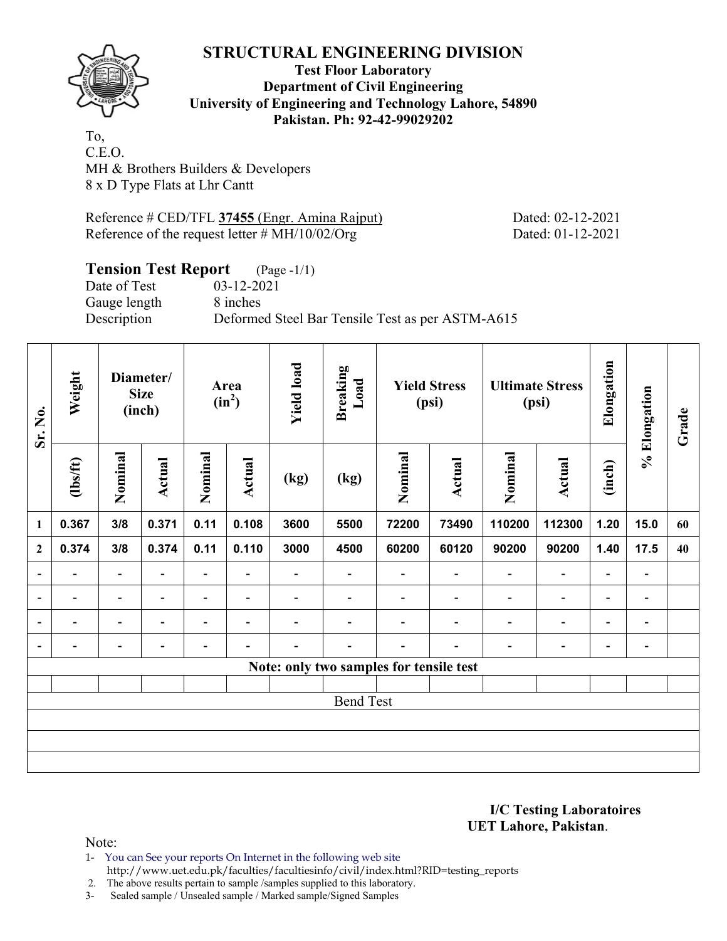

#### **Test Floor Laboratory Department of Civil Engineering University of Engineering and Technology Lahore, 54890 Pakistan. Ph: 92-42-99029202**

To, C.E.O. MH & Brothers Builders & Developers 8 x D Type Flats at Lhr Cantt

Reference # CED/TFL **37455** (Engr. Amina Rajput) Dated: 02-12-2021 Reference of the request letter # MH/10/02/Org Dated: 01-12-2021

# **Tension Test Report** (Page -1/1)<br>Date of Test 03-12-2021

Date of Test Gauge length 8 inches

Description Deformed Steel Bar Tensile Test as per ASTM-A615

| Sr. No.                  | Weight                   |                          | Diameter/<br><b>Size</b><br>(inch) | Area<br>$(in^2)$         |                          | <b>Yield load</b> | <b>Breaking</b><br>Load |                                         | <b>Yield Stress</b><br>(psi) |                          | <b>Ultimate Stress</b><br>(psi) | Elongation                   | % Elongation             | Grade |
|--------------------------|--------------------------|--------------------------|------------------------------------|--------------------------|--------------------------|-------------------|-------------------------|-----------------------------------------|------------------------------|--------------------------|---------------------------------|------------------------------|--------------------------|-------|
|                          | $\frac{1}{10}$           | Nominal                  | Actual                             | Nominal                  | Actual                   | (kg)              | (kg)                    | Nominal                                 | Actual                       | Nominal                  | Actual                          | (inch)                       |                          |       |
| 1                        | 0.367                    | 3/8                      | 0.371                              | 0.11                     | 0.108                    | 3600              | 5500                    | 72200                                   | 73490                        | 110200                   | 112300                          | 1.20                         | 15.0                     | 60    |
| $\overline{2}$           | 0.374                    | 3/8                      | 0.374                              | 0.11                     | 0.110                    | 3000              | 4500                    | 60200                                   | 60120                        | 90200                    | 90200                           | 1.40                         | 17.5                     | 40    |
| $\overline{\phantom{a}}$ | $\overline{\phantom{0}}$ | $\overline{\phantom{a}}$ |                                    | $\overline{\phantom{a}}$ | $\overline{\phantom{0}}$ |                   |                         |                                         | $\overline{\phantom{a}}$     | ۰                        | $\blacksquare$                  | $\overline{\phantom{0}}$     | $\overline{a}$           |       |
| $\overline{\phantom{a}}$ | $\overline{\phantom{0}}$ | $\overline{\phantom{a}}$ | $\blacksquare$                     | $\overline{\phantom{a}}$ | $\overline{\phantom{a}}$ | -                 |                         |                                         | $\overline{\phantom{a}}$     | $\overline{\phantom{0}}$ | $\blacksquare$                  | $\qquad \qquad \blacksquare$ | $\overline{\phantom{a}}$ |       |
| $\overline{\phantom{a}}$ |                          |                          |                                    |                          |                          |                   |                         |                                         |                              |                          |                                 | $\overline{\phantom{0}}$     | $\overline{\phantom{0}}$ |       |
| $\overline{\phantom{a}}$ |                          | -                        |                                    |                          |                          |                   |                         |                                         |                              |                          | $\overline{\phantom{0}}$        | $\overline{\phantom{0}}$     | -                        |       |
|                          |                          |                          |                                    |                          |                          |                   |                         | Note: only two samples for tensile test |                              |                          |                                 |                              |                          |       |
|                          |                          |                          |                                    |                          |                          |                   |                         |                                         |                              |                          |                                 |                              |                          |       |
|                          |                          |                          |                                    |                          |                          |                   | <b>Bend Test</b>        |                                         |                              |                          |                                 |                              |                          |       |
|                          |                          |                          |                                    |                          |                          |                   |                         |                                         |                              |                          |                                 |                              |                          |       |
|                          |                          |                          |                                    |                          |                          |                   |                         |                                         |                              |                          |                                 |                              |                          |       |
|                          |                          |                          |                                    |                          |                          |                   |                         |                                         |                              |                          |                                 |                              |                          |       |

**I/C Testing Laboratoires UET Lahore, Pakistan**.

Note:

1- You can See your reports On Internet in the following web site http://www.uet.edu.pk/faculties/facultiesinfo/civil/index.html?RID=testing\_reports

2. The above results pertain to sample /samples supplied to this laboratory.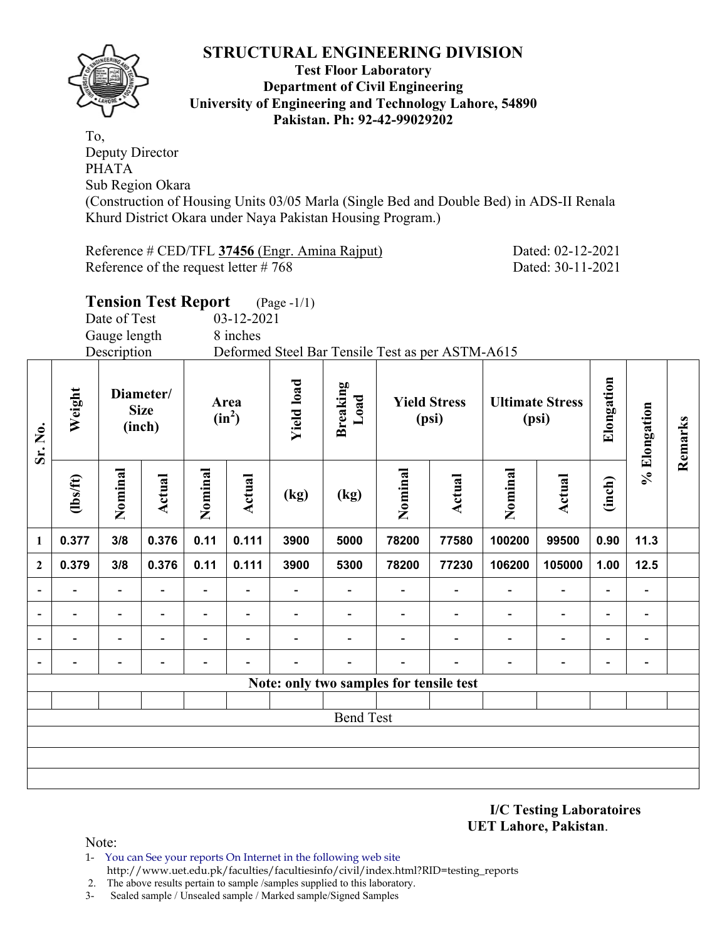

#### **Test Floor Laboratory Department of Civil Engineering University of Engineering and Technology Lahore, 54890 Pakistan. Ph: 92-42-99029202**

To, Deputy Director PHATA Sub Region Okara (Construction of Housing Units 03/05 Marla (Single Bed and Double Bed) in ADS-II Renala Khurd District Okara under Naya Pakistan Housing Program.)

Reference # CED/TFL **37456** (Engr. Amina Rajput) Dated: 02-12-2021 Reference of the request letter # 768 Dated: 30-11-2021

|                |                |                          | <b>Tension Test Report</b>                                                  |                          |                         | $(Page - 1/1)$ |                                                  |         |                                 |                |                          |              |                              |  |
|----------------|----------------|--------------------------|-----------------------------------------------------------------------------|--------------------------|-------------------------|----------------|--------------------------------------------------|---------|---------------------------------|----------------|--------------------------|--------------|------------------------------|--|
|                |                | Date of Test             |                                                                             |                          | 03-12-2021              |                |                                                  |         |                                 |                |                          |              |                              |  |
|                |                | Gauge length             |                                                                             |                          | 8 inches                |                |                                                  |         |                                 |                |                          |              |                              |  |
|                |                | Description              |                                                                             |                          |                         |                | Deformed Steel Bar Tensile Test as per ASTM-A615 |         |                                 |                |                          |              |                              |  |
| Sr. No.        | Weight         |                          | <b>Yield load</b><br>Diameter/<br>Area<br><b>Size</b><br>$(in^2)$<br>(inch) |                          | <b>Breaking</b><br>Load |                | <b>Yield Stress</b><br>(psi)                     |         | <b>Ultimate Stress</b><br>(psi) |                | Elongation               | % Elongation | Remarks                      |  |
|                | $\frac{2}{10}$ | Nominal                  | Actual                                                                      | Nominal                  | Actual                  | (kg)           | (kg)                                             | Nominal | <b>Actual</b>                   | Nominal        | Actual                   | (inch)       |                              |  |
| 1              | 0.377          | 3/8                      | 0.376                                                                       | 0.11                     | 0.111                   | 3900           | 5000                                             | 78200   | 77580                           | 100200         | 99500                    | 0.90         | 11.3                         |  |
| $\mathbf{2}$   | 0.379          | 3/8                      | 0.376                                                                       | 0.11                     | 0.111                   | 3900           | 5300                                             | 78200   | 77230                           | 106200         | 105000                   | 1.00         | 12.5                         |  |
| $\blacksquare$ | ۰              | $\blacksquare$           |                                                                             | $\blacksquare$           |                         | ٠              |                                                  |         |                                 | $\blacksquare$ | $\blacksquare$           |              | $\blacksquare$               |  |
|                |                | $\overline{\phantom{a}}$ | $\overline{\phantom{0}}$                                                    | $\blacksquare$           |                         |                |                                                  |         |                                 |                | $\overline{\phantom{a}}$ |              | $\overline{\phantom{a}}$     |  |
|                |                | $\overline{\phantom{a}}$ |                                                                             | $\overline{\phantom{0}}$ |                         |                |                                                  |         |                                 |                | $\blacksquare$           |              | $\qquad \qquad \blacksquare$ |  |
|                |                | ÷                        |                                                                             |                          |                         |                |                                                  |         |                                 |                | $\overline{a}$           |              |                              |  |
|                |                |                          |                                                                             |                          |                         |                | Note: only two samples for tensile test          |         |                                 |                |                          |              |                              |  |
|                |                |                          |                                                                             |                          |                         |                |                                                  |         |                                 |                |                          |              |                              |  |
|                |                |                          |                                                                             |                          |                         |                | <b>Bend Test</b>                                 |         |                                 |                |                          |              |                              |  |
|                |                |                          |                                                                             |                          |                         |                |                                                  |         |                                 |                |                          |              |                              |  |
|                |                |                          |                                                                             |                          |                         |                |                                                  |         |                                 |                |                          |              |                              |  |
|                |                |                          |                                                                             |                          |                         |                |                                                  |         |                                 |                |                          |              |                              |  |

**I/C Testing Laboratoires UET Lahore, Pakistan**.

Note:

- 1- You can See your reports On Internet in the following web site http://www.uet.edu.pk/faculties/facultiesinfo/civil/index.html?RID=testing\_reports
- 2. The above results pertain to sample /samples supplied to this laboratory.
- 3- Sealed sample / Unsealed sample / Marked sample/Signed Samples